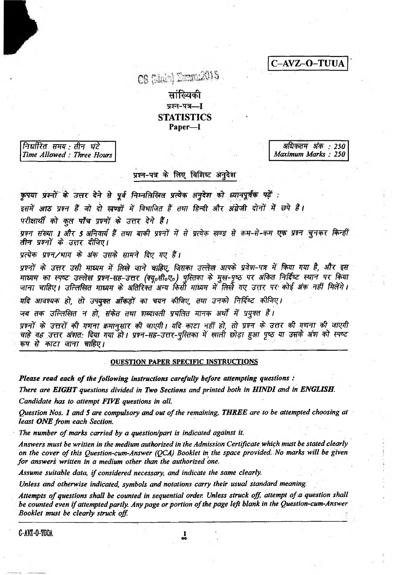C-AVZ-O-TUUA

CS (Maie) Emma 2015

# सांख्यिकी प्रश्न-पत्र-I **STATISTICS** Paper-I

निर्धारित समय : तीन घंटे Time Allowed: Three Hours

अधिकतम अंक : 250 Maximum Marks: 250

# प्रश्न-पत्र के लिए विशिष्ट अनुदेश

कृपया प्रश्नों के उत्तर देने से पूर्व निम्नलिखित प्रत्येक अनुदेश को ध्यानपूर्वक पढ़ें :

इसमें आठ प्रश्न हैं जो दो खण्डों में विभाजित हैं तथा हिन्दी और अंग्रेजी दोनों में छपे हैं।

परीक्षार्थी को कुल पाँच प्रश्नों के उत्तर देने हैं।

प्रश्न संख्या 1 और 5 अनिवार्य हैं तथा बाकी प्रश्नों में से प्रत्येक खण्ड से कम-से-कम एक प्रश्न चुनकर किन्हीं तीन प्रश्नों के उत्तर दीजिए।

प्रत्येक प्रश्न/भाग के अंक उसके सामने दिए गए हैं।

प्रश्नों के उत्तर उसी माध्यम में लिखे जाने चाहिए, जिसका उल्लेख आपके प्रवेश-पत्र में किया गया है, और इस माध्यम का स्पष्ट उल्लेख प्रश्न-सह-उत्तर (क्यू॰सी॰ए॰) पुस्तिका के मुख-पृष्ठ पर अंकित निर्दिष्ट स्थान पर किया<br>जाना चाहिए। उल्लिखित माध्यम के अतिरिक्त अन्य किसी माध्यम में लिखे गए उत्तर पर कोई अंक नहीं मिलेंगे।

यदि आवश्यक हो, तो उपयुक्त आँकड़ों का चयन कीजिए, तथा उनको निर्दिष्ट कीजिए।

जब तक उल्लिखित न हो, संकेत तथा शब्दावली प्रचलित मानक अर्थों में प्रयुक्त हैं।

प्रश्नों के उत्तरों की गणना कमानुसार की जाएगी। यदि काटा नहीं हो, तो प्रश्न के उत्तर की गणना की जाएगी<br>चाहे वह उत्तर अंशत: दिया गया हो। प्रश्न-सह-उत्तर-पुस्तिका में खाली छोड़ा हुआ पृष्ठ या उसके अंश को स्पष्ट रूप से काटा जाना चाहिए।

### **OUESTION PAPER SPECIFIC INSTRUCTIONS**

Please read each of the following instructions carefully before attempting questions :

There are EIGHT questions divided in Two Sections and printed both in HINDI and in ENGLISH.

Candidate has to attempt FIVE questions in all.

Question Nos. 1 and 5 are compulsory and out of the remaining, THREE are to be attempted choosing at least ONE from each Section.

The number of marks carried by a question/part is indicated against it.

Answers must be written in the medium authorized in the Admission Certificate which must be stated clearly on the cover of this Question-cum-Answer (QCA) Booklet in the space provided. No marks will be given for answers written in a medium other than the authorized one.

Assume suitable data, if considered necessary, and indicate the same clearly.

Unless and otherwise indicated, symbols and notations carry their usual standard meaning.

Attempts of questions shall be counted in sequential order. Unless struck off, attempt of a question shall be counted even if attempted partly. Any page or portion of the page left blank in the Question-cum-Answer Booklet must be clearly struck off.

 $\frac{1}{20}$ 

C-AVZ-O-TOOA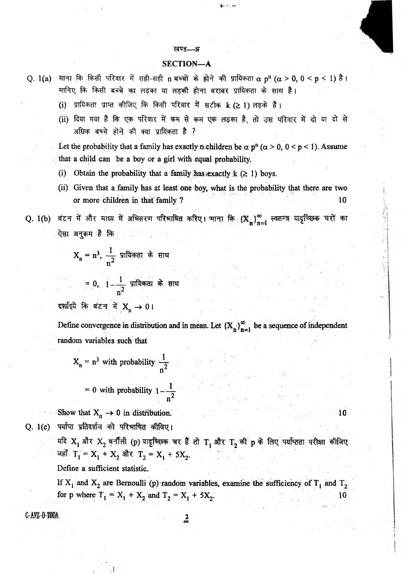#### *WTZ— St*

## SECTION—A

Q. 1(a) माना कि किसी परिवार में सही-सही n बच्चों के होने की प्रायिकता $\alpha$  p<sup>n</sup> (α > 0, 0 < p < 1) है। मानिए कि किसी बच्चे का लड़का या लड़की होना बराबर प्रायिकता के साथ है।

- (i) प्रायिकता प्राप्त कीजिए कि किसी परिवार में सटीक k ( $\geq 1$ ) लड़के हैं।
- (ii) दिया गया है कि एक परिवार में कम से कम एक लड़का है, तो उस परिवार में दो या दो से अधिक बच्चे होने की क्या प्रायिकता है ?

Let the probability that a family has exactly n children be  $\alpha$  p<sup>n</sup> ( $\alpha$  > 0, 0 < p < 1). Assume that a child can be a boy or a girl with equal probability.

- (i) Obtain the probability that a family has exactly  $k$  ( $\geq$  1) boys.
- (ii) Given that a family has at least one boy, what is the probability that there are two or more children in that family ? 10
- Q. 1(b) बंटन में और माध्य में अभिसरण परिभाषित करिए। माना कि  $\left\{ X_n \right\}_{n=1}^\infty$  स्वतन्त्र यादृच्छिक चरों का ऐसा अनुक्रम**ाहै** कि

 $X_n = n^3$ , → प्रायिकता के सा *XT*

 $= 0, 1 - \frac{1}{n^2}$  प्रायिकता के सा

दर्शाइये कि बंटन में X<sub>n</sub> → 0।

Define convergence in distribution and in mean. Let  ${X_n}_{n=1}^{\infty}$  be a sequence of independent random variables such that

. 1  $X_n = n^3$  with probability  $\frac{1}{n^2}$ n

= 0 with probability 
$$
1 - \frac{1}{n^2}
$$

Show that  $X_n \to 0$  in distribution. 10 Q. 1(c) पर्याप्त प्रतिदर्शज को परिभाषित कीजिए।

यदि  $\mathbf{X_{1}}$  और  $\mathbf{X_{2}}$  बर्नौली (p) यादृच्छिक चर हैं तो  $\mathbf{T_{1}}$  और  $\mathbf{T_{2}}$  की p के लिए पर्याप्तता परीक्षा कीजिए जहाँ  $T_1 = X_1 + X_2$  और  $T_2 = X_1 + 5X_2$ .

Define a sufficient statistic.

If  $X_1$  and  $X_2$  are Bernoulli (p) random variables, examine the sufficiency of  $T_1$  and  $T_2$ for p where  $T_1 = X_1 + X_2$  and  $T_2 = X_1 + 5X_2$ .

# C-AVZ-0-TOOA

 $\frac{2}{90}$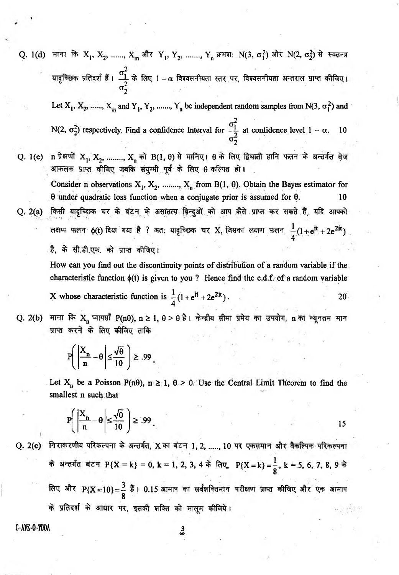Q. 1(d) माना कि  $X_1, X_2, \, \ldots, X_m$  और  $Y_1, Y_2, \, \ldots, Y_n$  क्रमश: N(3,  $\sigma_1^2$ ) और N(2,  $\sigma_2^2$ ) से स्वतन्त्र प्रतिदर्श हैं <sub>।</sub>  $\frac{\sigma_{1}^{2}}{2}$  के लिए 1 – α विश्वसनीयता स्तर पर, विश्वसनीयता अन्तराल प्रा *2.* Let  $X_1, X_2, \ldots, X_m$  and  $Y_1, Y_2, \ldots, Y_n$  be independent random samples from N(3,  $\sigma_1^2$ ) and N(2,  $\sigma_2^2$ ) respectively. Find a confidence Interval for  $\sigma_1^2$  at confidence level 1 -  $\alpha$ . 10 *2* Q. 1(e) n प्रेक्षणों  $X_1, X_2,$  ........,  $X_n$  को B(1, 0) से मानिए।  $\theta$  के लिए द्विघाती हानि फलन के अन्तर्गत बेज आकलक प्राप्त कीजिए जबकि संयुग्मी पूर्व के लिए 8 कल्पित हो। Consider n observations  $X_1, X_2, \ldots, X_n$  from B(1, 0). Obtain the Bayes estimator for  $\theta$  under quadratic loss function when a conjugate prior is assumed for  $\theta$ . 10 Q. 2(a) किसी यादृच्छिक चर के बंटन के असांतत्य बिन्दुओं को आप कैसे प्राप्त कर सकते हैं, यदि आपको लक्षण फलन  $\phi(t)$  दिया गया है ? अत: यादृच्छिक चर X, जिसका लक्षण फलन  $\frac{1}{4}(1+e^{it}+2e^{2it})$ है, के सी.डी.एफ. को प्राप्त कीजिए।

How can you find out the discontinuity points of distribution of a random variable if the characteristic function  $\phi(t)$  is given to you ? Hence find the c.d.f. of a random variable X whose characteristic function is  $\frac{1}{4}(1+e^{it}+2e^{2it})$ . 20

Q. 2(b) माना कि  $X_n$  प्वायसाँ P(n0), n ≥ 1, 0 > 0 है। केन्द्रीय सीमा प्रमेय का उपयोग, n का न्यूनतम मान प्राप्त करने के लिए कीजिए ताकि

$$
P\left(\left|\frac{X_n}{n} - \theta\right| \le \frac{\sqrt{\theta}}{10}\right) \ge .99
$$

Let  $X_n$  be a Poisson P(n $\theta$ ), n  $\geq 1$ ,  $\theta > 0$ . Use the Central Limit Theorem to find the smallest n such that

$$
P\left(\left|\frac{X_n}{n} - \theta\right| \le \frac{\sqrt{\theta}}{10}\right) \ge .99
$$

Q. 2(c) निराकरणीय परिकल्पना के अन्तर्गत, X का बंटन 1, 2, ....., 10 पर एकसमान और वैकल्पिक परिकल्पना क अन्तर्गत बटन P{X = k} = 0, k = 1, 2, 3, 4 के लिए, P{X = k} = - , k = 5, 6, 7, 8, 9 के 8 लिए और  $P\{X\!=\!10\}=\!15$  हैं।  $0.15$  आमाप का सर्वशक्तिमान परीक्षण प्राप्त कीजिए और एक आमाप 8 के प्रतिदर्श के आधार पर, इसकी शक्ति को मालूम कीजिये।

C-AYZ-O-TOOA

DO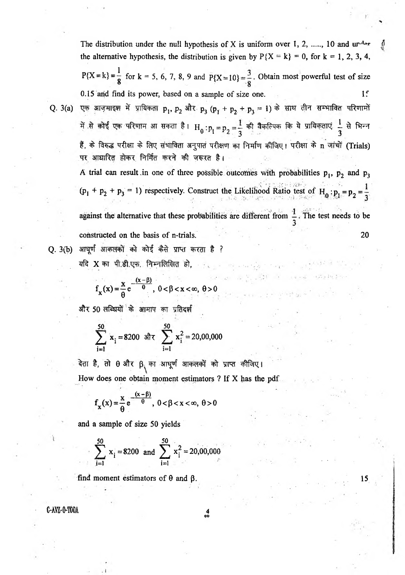The distribution under the null hypothesis of X is uniform over 1, 2, ...., 10 and  $\mathbf{u} \cdot \mathbf{d} \cdot \mathbf{r}$ the alternative hypothesis, the distribution is given by  $P{X = k} = 0$ , for  $k = 1, 2, 3, 4$ , 1  $P{X = k} = -$  for  $k = 5, 6, 7, 8, 9$  and  $P{X = 10} = -$ . Obtain most powerful test of size 0.15 and find its power, based on a sample of size one. If Q. 3(a) एक आजमाइश में प्रायिकता  $p_1, p_2$  और  $p_3$  ( $p_1 + p_2 + p_3 = 1$ ) के साथ तीन सम्भावित परिणामों में से कोई एक परिणाम आ सकता है।  $H_0 : p_1 = p_2 = \frac{1}{3}$  की वैकल्पिक कि ये प्रायिकताएं  $\frac{1}{3}$  से भिन्न हैं, के विरुद्ध परीक्षा के लिए संभाविता अनुपात परीक्षण का निर्माण कीजिए। परीक्षा के n जांचों (Trials) पर आधारित होकर निर्मित करने की जरूरत है। A trial can result in one of three possible outcomes with probabilities  $p_1$ ,  $p_2$  and  $p_3$ .. *.if" '■* •■■■-■ • • t  $(p_1 + p_2 + p_3 = 1)$  respectively. Construct the Likelihood Ratio test of  $H_0: p_1 = p_2 = \frac{1}{2}$ against the alternative that these probabilities are different from  $\frac{1}{2}$ . The test needs to be constructed on the basis of n-trials. 20 Q. 3(b) आघूर्ण आकलकों को कोई कैसे प्राप्त करता है ?

 $\label{eq:2.1} \mathcal{D}^{\alpha} \mathcal{D} = \mathcal{D}^{\alpha} \mathcal{D}^{\alpha} \mathcal{D}^{\alpha} \mathcal{D}^{\alpha} \mathcal{D}^{\alpha} \mathcal{D}^{\alpha} \mathcal{D}^{\alpha} \mathcal{D}^{\alpha} \mathcal{D}^{\alpha} \mathcal{D}^{\alpha} \mathcal{D}^{\alpha} \mathcal{D}^{\alpha} \mathcal{D}^{\alpha} \mathcal{D}^{\alpha} \mathcal{D}^{\alpha} \mathcal{D}^{\alpha} \mathcal{D}^{\alpha} \mathcal{D}^{\alpha} \mathcal{D}^{\alpha} \mathcal{$ 

 $\lim_{\delta\to 0}\frac{1}{\sqrt{2}}\int_{\mathbb{R}^3}\frac{d^2\mathbf{x}}{|\mathbf{x}-\mathbf{x}|^2}\frac{d^2\mathbf{x}}{|\mathbf{x}-\mathbf{x}|^2}=\mathbf{1}_{\mathbb{R}^3}\int_{\mathbb{R}^3}\frac{d^2\mathbf{x}}{|\mathbf{x}-\mathbf{x}|^2}\frac{d^2\mathbf{x}}{|\mathbf{x}-\mathbf{x}|^2}\frac{d^2\mathbf{x}}{|\mathbf{x}-\mathbf{x}|^2}\frac{d^2\mathbf{x}}{|\mathbf{x}-\mathbf{x}|^2}\frac{d^2\mathbf{x}}{|\mathbf{x}-\mathbf$ 

 $\label{eq:2.1} \begin{array}{lllllllllllllllll} \alpha & \alpha & \alpha^2 & \alpha^2 \beta^2 & \alpha & \alpha^2 \beta^2 \end{array}$ 

ing the state of the company.<br>At

 $\,$  यदि  $\,$  X का पी.डी.एफ. निम्नलिखित हो,

$$
f_x(x) = \frac{x}{\theta} e^{-\frac{(x-\beta)}{\theta}}, \ 0 < \beta < x < \infty, \ \theta > 0
$$

और 50 लब्धियों के आमाप का प्रतिदर्श

$$
\sum_{i=1}^{50} x_i = 8200 \text{ and } \sum_{i=1}^{50} x_i^2 = 20,00,000
$$

देता है, तो θ और β<sub>\</sub> का आधूर्ण आकलकों को प्राप्त कीजिए। How does one obtain moment estimators ? If X has the pdf

$$
f_{\mathbf{x}}(x) = \frac{x}{\theta} e^{-\frac{(x-\beta)}{\theta}}, \ 0 < \beta < x < \infty, \ \theta > 0
$$

and a sample of size 50 yields

<span id="page-3-0"></span>
$$
\sum_{i=1}^{50} x_i = 8200 \text{ and } \sum_{i=1}^{50} x_i^2 = 20,00,000
$$

find moment estimators of  $\theta$  and  $\beta$ . 15

C-AVZ-0-TOOA

4<br>00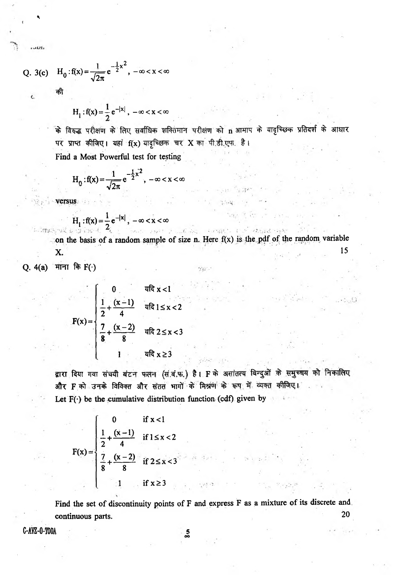Q. 3(c) 
$$
H_0: f(x) = \frac{1}{\sqrt{2\pi}} e^{-\frac{1}{2}x^2}, -\infty < x < \infty
$$

की

 $111$ 

$$
H_1
$$
:  $f(x) = \frac{1}{2} e^{-|x|}$ ,  $-\infty < x < \infty$ 

के विरुद्ध परीक्षण के लिए सर्वाधिक शक्तिमान परीक्षण को n आमाप के यादृच्छिक प्रतिदर्श के आधार पर प्राप्त कीजिए। यहां f(x) यादृच्छिक चर X का पी.डी.एफ. है। Find a Most Powerful test for testing

$$
H_0: f(x) = \frac{1}{\sqrt{2\pi}} e^{-\frac{1}{2}x^2}, -\infty < x < \infty
$$

$$
H_1
$$
:  $f(x) = \frac{1}{2}e^{-|x|}$ ,  $-\infty < x < \infty$ 

化砷酸盐酸去糖的铋法 安定 网络小钩科 大正股票 人名俄拉卡尔 attend rock con the basis of a random sample of size n. Here  $f(x)$  is the pdf of the random variable

 $\sim 10$ 

15

X.

Q. 4(a) माना कि F(·)

$$
F(x) = \begin{cases} 0 & \text{if } x < 1 \\ \frac{1}{2} + \frac{(x-1)}{4} & \text{if } 1 \leq x < 2 \\ \frac{7}{8} + \frac{(x-2)}{8} & \text{if } 2 \leq x < 3 \\ 1 & \text{if } x \geq 3 \end{cases}
$$

द्वारा दिया गया संचयी बंटन फलन (सं.बं.फ.) है। F के असांतत्य बिन्दुओं के समुच्चय को निकालिए और F को उनके विविक्त और संतत भागों के मिश्रण के रूप में व्यक्त कीजिए। Let  $F(\cdot)$  be the cumulative distribution function (cdf) given by

$$
F(x) = \begin{cases} 0 & \text{if } x < 1 \\ \frac{1}{2} + \frac{(x-1)}{4} & \text{if } 1 \le x < 2 \\ \frac{7}{8} + \frac{(x-2)}{8} & \text{if } 2 \le x < 3 \end{cases}
$$

Find the set of discontinuity points of F and express F as a mixture of its discrete and 20 continuous parts.

C-AYZ-O-TOOA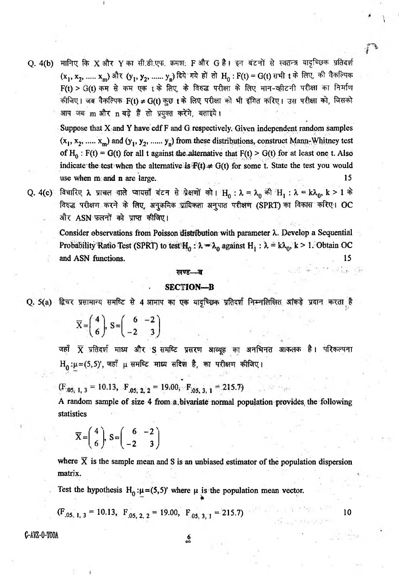Q. 4(b) मानिए कि X और Y का सी.डी.एफ. क्रमश: F और G है। इन बंटनों से स्वतन्त्र यादृच्छिक प्रतिदर्श (x<sub>1</sub>, x<sub>2</sub>, ..... x<sub>m</sub>) और (y<sub>1</sub>, y<sub>2</sub>, ...... y<sub>n</sub>) दिये गये हों तो H<sub>0</sub> : F(t) = G(t) सभी t के लिए, की वैकल्पिक  $F(t) > G(t)$  कम से कम एक t के लिए, के विरुद्ध परीक्षा के लिए मान-व्हीटनी परीक्षा का निर्माण कीजिए। जब वैकल्पिक  $F(t) \neq G(t)$  कुछ  $t$  के लिए परीक्षा को भी इंगित करिए। उस परीक्षा को, जिसको आप जब m और n बड़े हैं तो प्रयुक्त करेंगे, बताइये।

Suppose that X and Y have cdf F and G respectively. Given independent random samples  $(x_1, x_2, \ldots, x_m)$  and  $(y_1, y_2, \ldots, y_n)$  from these distributions, construct Mann-Whitney test of H<sub>0</sub>: F(t) = G(t) for all t against the alternative that F(t) > G(t) for at least one t. Also indicate the test when the alternative is  $\mathbf{F}(t) \neq G(t)$  for some t. State the test you would use when m and n are large. 15

*\*

Q. 4(c) विचारिए λ प्राचल वाले प्वायसाँ बंटन से ग्रेक्षणों को। H<sub>0</sub> : λ = λ<sub>0</sub> की H<sub>1</sub> : λ = kλ<sub>0</sub>, k > 1 के विरुद्ध परीक्षण करने के लिए, अनुक्रमिक प्रायिकता अनुपात परीक्षण (SPRT) का विकास करिए। OC और ASN फ़लनों को प्राप्त कीजिए।

Consider observations from Poisson distribution with parameter *X.* Develop a Sequential Probability Ratio Test (SPRT) to test  $H_0$ :  $\lambda = \lambda_0$  against  $H_1 : \lambda = k\lambda_0$ ,  $k > 1$ . Obtain OC and ASN functions. 15

#### खण्ड—ब

### SECTION—B

Q. 5(a) द्विचर प्रसामान्य समष्टि से 4 आमाप का एक यादृच्छिक प्रतिदर्श निम्नलिखित आंकड़े प्रदान करता है

 $\overline{X} = \begin{pmatrix} 4 \\ 6 \end{pmatrix}, S = \begin{pmatrix} 6 & -2 \\ -2 & 3 \end{pmatrix}$ 

जहाँ X प्रतिदर्श माध्य और S समष्टि प्रसरण आव्युह का अनभिनत आकलक है। परिकल्पना  $H_0: \mu = (5, 5)'$ , जहाँ  $\mu$  समष्टि माध्य सदिश है, का परीक्षण कीजिए।

 $(F_{.05, 1, 3} = 10.13, F_{.05, 2, 2} = 19.00, F_{.05, 3, 1} = 215.7$ 

A random sample of size 4 from a bivariate normal population provides the following statistics

$$
\overline{X} = \left(\begin{array}{c} 4 \\ 6 \end{array}\right), S = \left(\begin{array}{cc} 6 & -2 \\ -2 & 3 \end{array}\right)
$$

where  $\overline{X}$  is the sample mean and S is an unbiased estimator of the population dispersion matrix.

Test the hypothesis  $H_0 : \mu = (5,5)'$  where  $\mu$  is the population mean vector.

$$
(\mathbf{F}_{.05, 1, 3} = 10.13, \ \mathbf{F}_{.05, 2, 2} = 19.00, \ \mathbf{F}_{.05, 3, 1} = 215.7)
$$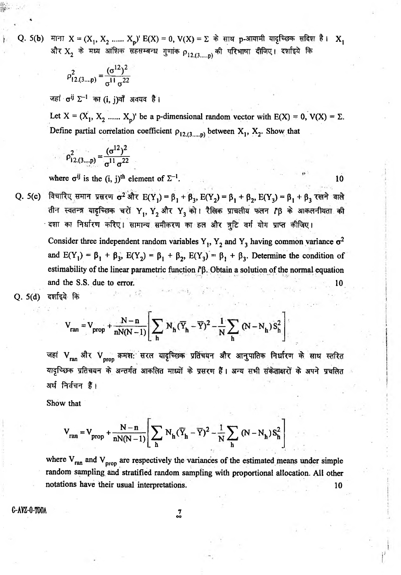Q. 5(b) माना  $X = (X_1, X_2, \dots, X_n)$ ' E(X) = 0, V(X) =  $\Sigma$  के साथ p-आयामी यादृच्छिक सदिश है।  $X_1$ और  $\text{X}_2$  के मध्य आंशिक सहसम्बन्ध गुणांक  $\rho_{12. (3..... \textbf{p})}$  की परिभाषा दीजिए। दर्शाइये कि

$$
\rho_{12,(3...p)}^2 = \frac{(\sigma^{12})^2}{\sigma^{11} \sigma^{22}}
$$

जहां  $\sigma^{ij}$   $\Sigma^{-1}$  का (i, j)वाँ अवयव है।

Let  $X = (X_1, X_2, \dots, X_n)$  be a p-dimensional random vector with  $E(X) = 0$ ,  $V(X) = \Sigma$ . Define partial correlation coefficient  $\rho_{12,(3,\dots,p)}$  between  $X_1, X_2$ . Show that

$$
\rho_{12.(3\dots p)}^2 = \frac{(\sigma^{12})^2}{\sigma^{11} \sigma^{22}}
$$

where  $\sigma^{ij}$  is the (i, j)<sup>th</sup> element of  $\Sigma^{-1}$ .

10

विचारिए समान प्रसरण  $\sigma^2$  और  $E(Y_1) = \beta_1 + \beta_3$ ,  $E(Y_2) = \beta_1 + \beta_2$ ,  $E(Y_3) = \beta_1 + \beta_3$  रखने वाले  $Q. 5(c)$ तीन स्वतन्त्र यादृच्छिक चरों Y, Y2 और Y3 को। रैलिक प्राचलीय फलन Γβ के आकलनीयता की दशा का निर्धारण करिए। सामान्य समीकरण का हल और त्रुटि वर्ग योग प्राप्त कीजिए।

Consider three independent random variables Y<sub>1</sub>, Y<sub>2</sub> and Y<sub>3</sub> having common variance  $\sigma^2$ and  $E(Y_1) = \beta_1 + \beta_3$ ,  $E(Y_2) = \beta_1 + \beta_2$ ,  $E(Y_3) = \beta_1 + \beta_3$ . Determine the condition of estimability of the linear parametric function  $\mathbf{l}^{\prime}$ . Obtain a solution of the normal equation and the S.S. due to error.

 $Q. 5(d)$ दर्शाइये कि

$$
V_{ran} = V_{prop} + \frac{N-n}{nN(N-1)} \left[ \sum_h N_h (\overline{Y}_h - \overline{Y})^2 - \frac{1}{N} \sum_h (N - N_h) S_h^2 \right]
$$

जहां V<sub>ran</sub> और V<sub>prop</sub> क्रमश: सरल यादृच्छिक प्रतिचयन और आनुपातिक निर्धारण के साथ स्तरित यादृच्छिक प्रतिचयन के अन्तर्गत आकलित माध्यों के प्रसरण हैं। अन्य सभी संकेताक्षरों के अपने प्रचलित अर्थ निर्वचन हैं।

Show that

$$
V_{ran} = V_{prop} + \frac{N-n}{nN(N-1)} \left[ \sum_{h} N_h (\overline{Y}_h - \overline{Y})^2 - \frac{1}{N} \sum_{h} (N - N_h) S_h^2 \right]
$$

where  $V_{ran}$  and  $V_{prop}$  are respectively the variances of the estimated means under simple random sampling and stratified random sampling with proportional allocation. All other notations have their usual interpretations. 10

C-AVZ-O-TOOA

 $\frac{7}{90}$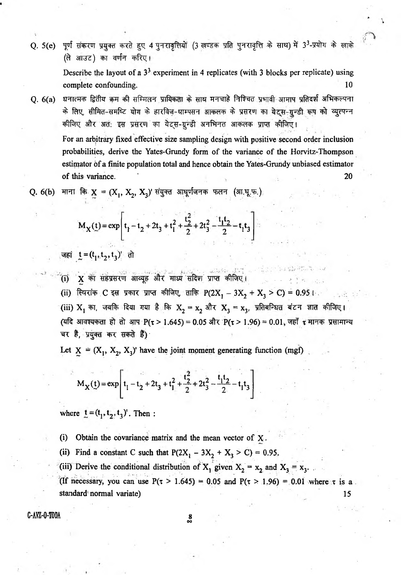पूर्ण संकरण प्रयुक्त करते हुए 4 पुनरावृत्तियों (3 खण्डक प्रति पुनरावृत्ति के साथ) में 3<sup>3</sup>-प्रयोग के खाके  $O. 5(e)$ (ले आउट) का वर्णन करिए।

> Describe the layout of a  $3<sup>3</sup>$  experiment in 4 replicates (with 3 blocks per replicate) using complete confounding.  $10$

धनात्मक द्वितीय क्रम की सम्मिलन प्रायिकता के साथ मनचाहे निश्चित प्रभावी आमाप प्रतिदर्श अभिकल्पना  $0.6(a)$ के लिए सीमित-समष्टि योग के हारविज-थाम्पसन आकलक के प्रसरण का येटस-ग्रून्डी रूप को व्यूत्पन्न कीजिए और अत: इस प्रसरण का येट्स-ग्रुन्डी अनभिनत आकलक प्राप्त कीजिए।

For an arbitrary fixed effective size sampling design with positive second order inclusion probabilities, derive the Yates-Grundy form of the variance of the Horvitz-Thompson estimator of a finite population total and hence obtain the Yates-Grundy unbiased estimator of this variance. 20

Q. 6(b) माना कि  $X = (X_1, X_2, X_3)$ ' संयुक्त आघूर्णजनक फलन (आ.घू.फ.)

$$
M_X(t) = \exp\left[t_1 - t_2 + 2t_3 + t_1^2 + \frac{t_2^2}{2} + 2t_3^2 - \frac{t_1t_2}{2} - t_1t_3\right]
$$

जहां t =  $(t_1, t_2, t_3)$ ' तो

- (i) X का सहप्रसरण आव्यूह और माध्य सदिश प्राप्त कीजिए।
- (ii) स्थिरांक C इस प्रकार प्राप्त कीजिए, ताकि  $P(2X_1 3X_2 + X_3 > C) = 0.95 + 1$
- (iii)  $X_1$  का, जबकि दिया गया है कि  $X_2 = x_2$  और  $X_3 = x_3$ , प्रतिबन्धित बंटन ज्ञात कीजिए। (यदि आवश्यकता हो तो आप P(t > 1.645) = 0.05 और P(t > 1.96) = 0.01, जहाँ t मानक प्रसामान्य चर है प्रयुक्त कर सकते हैं)

Let  $X = (X_1, X_2, X_3)$ ' have the joint moment generating function (mgf)

$$
M_X(t) = \exp\left[t_1 - t_2 + 2t_3 + t_1^2 + \frac{t_2^2}{2} + 2t_3^2 - \frac{t_1t_2}{2} - t_1t_3\right]
$$

where  $t = (t_1, t_2, t_3)$ . Then:

(i) Obtain the covariance matrix and the mean vector of  $X$ .

- (ii) Find a constant C such that  $P(2X_1 3X_2 + X_3 > C) = 0.95$ .
- (iii) Derive the conditional distribution of  $X_1$  given  $X_2 = x_2$  and  $X_3 = x_3$ .

(If necessary, you can use  $P(\tau > 1.645) = 0.05$  and  $P(\tau > 1.96) = 0.01$  where  $\tau$  is a. standard normal variate) 15

C-AVZ-O-TOOA

8<br>‱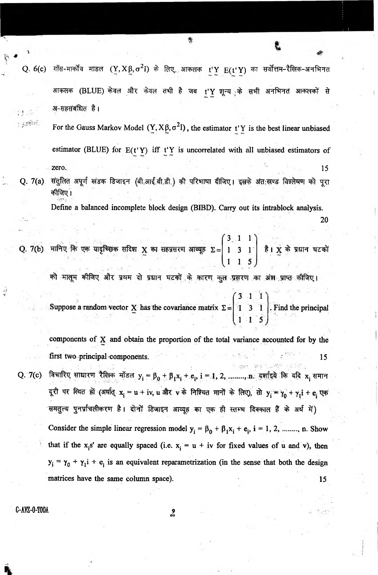Q. 6(c) गॉस-मार्कोव माडल  $(Y, X \beta, \sigma^2 I)$  के लिए, आकलक t'Y  $E(t'Y)$  का सर्वोत्तम-रैखिक-अनभिनत आकलक (BLUE) केवल और केवल तभी है जब t'Y शून्य<sub>्र</sub>के सभी अनभिनत आकलकों से अ-सहसंबंधित है। 过路 For the Gauss Markov Model  $(Y, X\beta, \sigma^2 I)$ , the estimator t'Y is the best linear unbiased estimator (BLUE) for  $E(t'Y)$  iff  $t'Y$  is uncorrelated with all unbiased estimators of zero. The contract of the contract of the contract  $15$ Q. 7(a) संतुलित अपूर्ण खंडक डिजाइन (बी.आई.बी.डी.) की परिभाषा दीजिए । इसके अंत:खण्ड विश्लेषण को पूरा

躛

कीजिए ।

Define a balanced incomplete block design (BIBD). Carry out its intrablock analysis. **20**

 $3 \cdot 1 \cdot 1$ 1 3 1 1 1 5

को मालूम कीजिए और प्रथम दो प्रधान घटकों के कारण कुल प्रसरण का अंश प्राप्त कीजिए।

Suppose a random vector X has the covariance matrix  $\Sigma =$  $3 - 1$  1 1 3 1 . Find the principal  $1 - 1$ 

components of X and obtain the proportion of the total variance accounted for by the first two principal components.  $\therefore$  15  $\therefore$  15  $\therefore$  15

Q. 7(c) विचारिए साधारण रैखिक मॉडल  $y_i = \beta_0 + \beta_1 x_i + e_i, i = 1, 2, ......, n.$  दर्शाइये कि यदि  $x_i$  समान दूरी पर स्थित हों (अर्थात् x<sub>i</sub> = u + iv, u और v के निश्चित मानों के लिए), तो y = y + y<sub>l</sub>i + e एक समतुल्य पुनर्प्राचलीकरण है। दोनों डिजाइन आव्यूह का एक ही स्तम्भ दिक्काल हैं के अर्थ में) Consider the simple linear regression model  $y_i = \beta_0 + \beta_1 x_i + e_i$ , i = 1, 2, ........, n. Show that if the x<sub>i</sub>s' are equally spaced (i.e.  $x_i = u + iv$  for fixed values of u and v), then  $y_i = \gamma_0 + \gamma_1 i + e_i$  is an equivalent reparametrization (in the sense that both the design matrices have the same column space). 15

C-AVZ-0-T00A

**i**

o<br>oo